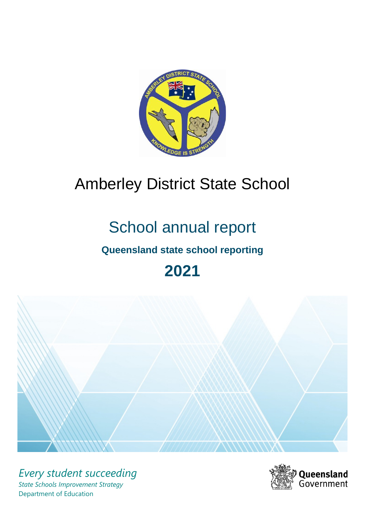

# Amberley District State School

# School annual report

# **Queensland state school reporting**

# **2021**



*Every student succeeding State Schools Improvement Strategy* Department of Education

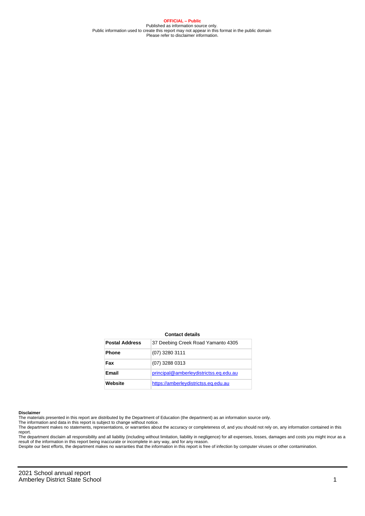**OFFICIAL – Public** Published as information source only. Public information used to create this report may not appear in this format in the public domain Please refer to disclaimer information.

#### **Contact details**

| <b>Postal Address</b> | 37 Deebing Creek Road Yamanto 4305     |
|-----------------------|----------------------------------------|
| <b>Phone</b>          | $(07)$ 3280 3111                       |
| Fax                   | (07) 3288 0313                         |
| Email                 | principal@amberleydistrictss.eq.edu.au |
| Website               | https://amberleydistrictss.eq.edu.au   |

#### **Disclaimer**

The materials presented in this report are distributed by the Department of Education (the department) as an information source only.

The information and data in this report is subject to change without notice.<br>The department makes no statements, representations, or warranties about the accuracy or completeness of, and you should not rely on, any informa report.

The department disclaim all responsibility and all liability (including without limitation, liability in negligence) for all expenses, losses, damages and costs you might incur as a result of the information in this report being inaccurate or incomplete in any way, and for any reason.

Despite our best efforts, the department makes no warranties that the information in this report is free of infection by computer viruses or other contamination.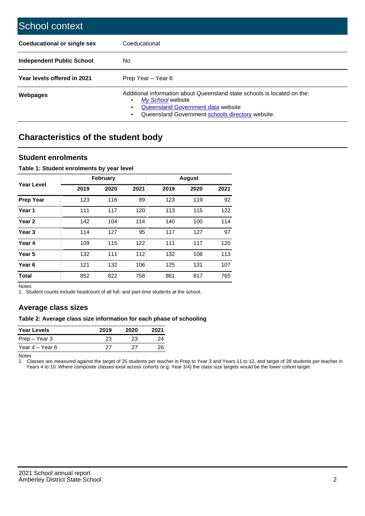| School context                   |                                                                                                                                                                                              |
|----------------------------------|----------------------------------------------------------------------------------------------------------------------------------------------------------------------------------------------|
| Coeducational or single sex      | Coeducational                                                                                                                                                                                |
| <b>Independent Public School</b> | No.                                                                                                                                                                                          |
| Year levels offered in 2021      | Prep Year - Year 6                                                                                                                                                                           |
| Webpages                         | Additional information about Queensland state schools is located on the:<br>My School website<br>Queensland Government data website<br>Queensland Government schools directory website.<br>٠ |

# **Characteristics of the student body**

### **Student enrolments**

#### **Table 1: Student enrolments by year level**

|                   |      | <b>February</b> |      |      | <b>August</b> |      |
|-------------------|------|-----------------|------|------|---------------|------|
| Year Level        | 2019 | 2020            | 2021 | 2019 | 2020          | 2021 |
| <b>Prep Year</b>  | 123  | 116             | 89   | 123  | 119           | 92   |
| Year 1            | 111  | 117             | 120  | 113  | 115           | 122  |
| Year 2            | 142  | 104             | 114  | 140  | 100           | 114  |
| Year <sub>3</sub> | 114  | 127             | 95   | 117  | 127           | 97   |
| Year 4            | 109  | 115             | 122  | 111  | 117           | 120  |
| Year 5            | 132  | 111             | 112  | 132  | 108           | 113  |
| Year <sub>6</sub> | 121  | 132             | 106  | 125  | 131           | 107  |
| <b>Total</b>      | 852  | 822             | 758  | 861  | 817           | 765  |

Notes

1. Student counts include headcount of all full- and part-time students at the school.

## **Average class sizes**

#### **Table 2: Average class size information for each phase of schooling**

| <b>Year Levels</b> | 2019 | 2020 | 2021 |
|--------------------|------|------|------|
| Prep – Year 3      | 23   | 23   | 24   |
| Year 4 – Year 6    | 27   | ソフ   | 26   |

Notes

1. Classes are measured against the target of 25 students per teacher in Prep to Year 3 and Years 11 to 12, and target of 28 students per teacher in Years 4 to 10. Where composite classes exist across cohorts (e.g. Year 3/4) the class size targets would be the lower cohort target.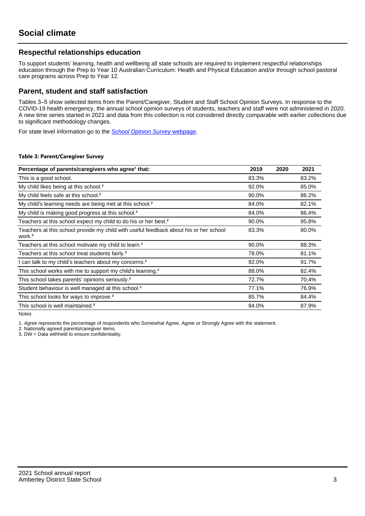## **Respectful relationships education**

To support students' learning, health and wellbeing all state schools are required to implement respectful relationships education through the Prep to Year 10 Australian Curriculum: Health and Physical Education and/or through school pastoral care programs across Prep to Year 12.

### **Parent, student and staff satisfaction**

Tables 3–5 show selected items from the Parent/Caregiver, Student and Staff School Opinion Surveys. In response to the COVID-19 health emergency, the annual school opinion surveys of students, teachers and staff were not administered in 2020. A new time series started in 2021 and data from this collection is not considered directly comparable with earlier collections due to significant methodology changes.

For state level information go to the **[School Opinion Survey](https://qed.qld.gov.au/publications/reports/statistics/schooling/schools/schoolopinionsurvey) webpage**.

#### **Table 3: Parent/Caregiver Survey**

| Percentage of parents/caregivers who agree <sup>1</sup> that:                                               | 2019  | 2020 | 2021  |
|-------------------------------------------------------------------------------------------------------------|-------|------|-------|
| This is a good school.                                                                                      | 83.3% |      | 83.2% |
| My child likes being at this school. <sup>2</sup>                                                           | 92.0% |      | 85.0% |
| My child feels safe at this school. <sup>2</sup>                                                            | 90.0% |      | 86.2% |
| My child's learning needs are being met at this school. <sup>2</sup>                                        | 84.0% |      | 82.1% |
| My child is making good progress at this school. <sup>2</sup>                                               | 84.0% |      | 86.4% |
| Teachers at this school expect my child to do his or her best. <sup>2</sup>                                 | 90.0% |      | 95.8% |
| Teachers at this school provide my child with useful feedback about his or her school<br>work. <sup>2</sup> | 83.3% |      | 80.0% |
| Teachers at this school motivate my child to learn. <sup>2</sup>                                            | 90.0% |      | 88.3% |
| Teachers at this school treat students fairly. <sup>2</sup>                                                 | 78.0% |      | 81.1% |
| can talk to my child's teachers about my concerns. <sup>2</sup>                                             | 92.0% |      | 91.7% |
| This school works with me to support my child's learning. <sup>2</sup>                                      | 88.0% |      | 82.4% |
| This school takes parents' opinions seriously. <sup>2</sup>                                                 | 72.7% |      | 70.4% |
| Student behaviour is well managed at this school. <sup>2</sup>                                              | 77.1% |      | 76.9% |
| This school looks for ways to improve. <sup>2</sup>                                                         | 85.7% |      | 84.4% |
| This school is well maintained. <sup>2</sup>                                                                | 94.0% |      | 87.9% |

Notes

1. Agree represents the percentage of respondents who Somewhat Agree, Agree or Strongly Agree with the statement.

2. Nationally agreed parents/caregiver items.

3. DW = Data withheld to ensure confidentiality.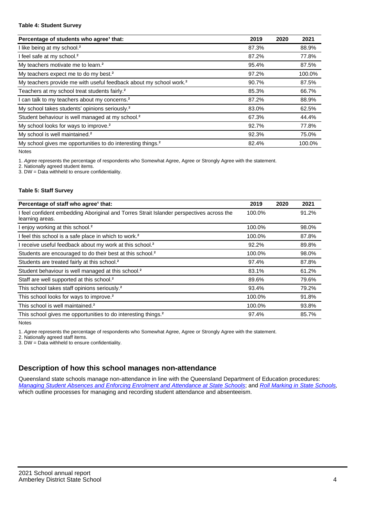#### **Table 4: Student Survey**

| Percentage of students who agree <sup>1</sup> that:                            | 2019  | 2020 | 2021   |
|--------------------------------------------------------------------------------|-------|------|--------|
| I like being at my school. <sup>2</sup>                                        | 87.3% |      | 88.9%  |
| I feel safe at my school. <sup>2</sup>                                         | 87.2% |      | 77.8%  |
| My teachers motivate me to learn. <sup>2</sup>                                 | 95.4% |      | 87.5%  |
| My teachers expect me to do my best. <sup>2</sup>                              | 97.2% |      | 100.0% |
| My teachers provide me with useful feedback about my school work. <sup>2</sup> | 90.7% |      | 87.5%  |
| Teachers at my school treat students fairly. <sup>2</sup>                      | 85.3% |      | 66.7%  |
| I can talk to my teachers about my concerns. <sup>2</sup>                      | 87.2% |      | 88.9%  |
| My school takes students' opinions seriously. <sup>2</sup>                     | 83.0% |      | 62.5%  |
| Student behaviour is well managed at my school. <sup>2</sup>                   | 67.3% |      | 44.4%  |
| My school looks for ways to improve. <sup>2</sup>                              | 92.7% |      | 77.8%  |
| My school is well maintained. <sup>2</sup>                                     | 92.3% |      | 75.0%  |
| My school gives me opportunities to do interesting things. <sup>2</sup>        | 82.4% |      | 100.0% |

Notes

1. Agree represents the percentage of respondents who Somewhat Agree, Agree or Strongly Agree with the statement.

2. Nationally agreed student items.

3. DW = Data withheld to ensure confidentiality.

#### **Table 5: Staff Survey**

| Percentage of staff who agree <sup>1</sup> that:                                                            | 2019   | 2020 | 2021  |
|-------------------------------------------------------------------------------------------------------------|--------|------|-------|
| I feel confident embedding Aboriginal and Torres Strait Islander perspectives across the<br>learning areas. | 100.0% |      | 91.2% |
| I enjoy working at this school. <sup>2</sup>                                                                | 100.0% |      | 98.0% |
| I feel this school is a safe place in which to work. <sup>2</sup>                                           | 100.0% |      | 87.8% |
| I receive useful feedback about my work at this school. <sup>2</sup>                                        | 92.2%  |      | 89.8% |
| Students are encouraged to do their best at this school. <sup>2</sup>                                       | 100.0% |      | 98.0% |
| Students are treated fairly at this school. <sup>2</sup>                                                    | 97.4%  |      | 87.8% |
| Student behaviour is well managed at this school. <sup>2</sup>                                              | 83.1%  |      | 61.2% |
| Staff are well supported at this school. <sup>2</sup>                                                       | 89.6%  |      | 79.6% |
| This school takes staff opinions seriously. <sup>2</sup>                                                    | 93.4%  |      | 79.2% |
| This school looks for ways to improve. <sup>2</sup>                                                         | 100.0% |      | 91.8% |
| This school is well maintained. <sup>2</sup>                                                                | 100.0% |      | 93.8% |
| This school gives me opportunities to do interesting things. <sup>2</sup>                                   | 97.4%  |      | 85.7% |

Notes

1. Agree represents the percentage of respondents who Somewhat Agree, Agree or Strongly Agree with the statement.

2. Nationally agreed staff items.

3. DW = Data withheld to ensure confidentiality.

## **Description of how this school manages non-attendance**

Queensland state schools manage non-attendance in line with the Queensland Department of Education procedures: [Managing Student Absences and Enforcing Enrolment and Attendance at State Schools](https://ppr.qed.qld.gov.au/pp/managing-student-absences-and-enforcing-enrolment-and-attendance-at-state-schools-procedure); and [Roll Marking in State Schools,](https://ppr.qed.qld.gov.au/pp/roll-marking-in-state-schools-procedure) which outline processes for managing and recording student attendance and absenteeism.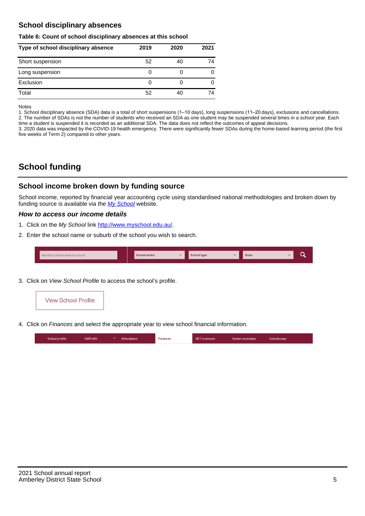## **School disciplinary absences**

#### **Table 6: Count of school disciplinary absences at this school**

| Type of school disciplinary absence | 2019 | 2020 | 2021 |
|-------------------------------------|------|------|------|
| Short suspension                    | 52   | 40   | 74   |
| Long suspension                     | O    |      | 0    |
| Exclusion                           | 0    |      | 0    |
| Total                               | 52   | 40   | 74   |

Notes

1. School disciplinary absence (SDA) data is a total of short suspensions (1–10 days), long suspensions (11–20 days), exclusions and cancellations. 2. The number of SDAs is not the number of students who received an SDA as one student may be suspended several times in a school year. Each time a student is suspended it is recorded as an additional SDA. The data does not reflect the outcomes of appeal decisions.

3. 2020 data was impacted by the COVID-19 health emergency. There were significantly fewer SDAs during the home-based learning period (the first five weeks of Term 2) compared to other years.

# **School funding**

## **School income broken down by funding source**

School income, reported by financial year accounting cycle using standardised national methodologies and broken down by funding source is available via the  $My$  School website.

#### **How to access our income details**

- 1. Click on the My School link <http://www.myschool.edu.au/>.
- 2. Enter the school name or suburb of the school you wish to search.

|--|

3. Click on View School Profile to access the school's profile.



4. Click on Finances and select the appropriate year to view school financial information.

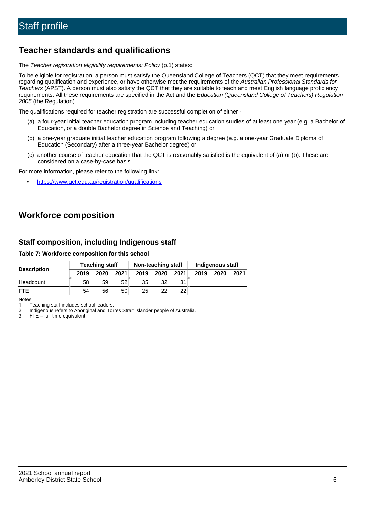## **Teacher standards and qualifications**

The Teacher registration eligibility requirements: Policy (p.1) states:

To be eligible for registration, a person must satisfy the Queensland College of Teachers (QCT) that they meet requirements regarding qualification and experience, or have otherwise met the requirements of the Australian Professional Standards for Teachers (APST). A person must also satisfy the QCT that they are suitable to teach and meet English language proficiency requirements. All these requirements are specified in the Act and the Education (Queensland College of Teachers) Regulation 2005 (the Regulation).

The qualifications required for teacher registration are successful completion of either -

- (a) a four-year initial teacher education program including teacher education studies of at least one year (e.g. a Bachelor of Education, or a double Bachelor degree in Science and Teaching) or
- (b) a one-year graduate initial teacher education program following a degree (e.g. a one-year Graduate Diploma of Education (Secondary) after a three-year Bachelor degree) or
- (c) another course of teacher education that the QCT is reasonably satisfied is the equivalent of (a) or (b). These are considered on a case-by-case basis.

For more information, please refer to the following link:

• <https://www.qct.edu.au/registration/qualifications>

# **Workforce composition**

## **Staff composition, including Indigenous staff**

#### **Table 7: Workforce composition for this school**

| <b>Description</b> | <b>Teaching staff</b> |      | Non-teaching staff |      |      | Indigenous staff |      |      |      |
|--------------------|-----------------------|------|--------------------|------|------|------------------|------|------|------|
|                    | 2019                  | 2020 | 2021               | 2019 | 2020 | 2021             | 2019 | 2020 | 2021 |
| Headcount          | 58                    | 59   | 52                 | 35   | 32   | 31               |      |      |      |
| <b>FTE</b>         | 54                    | 56   | 50                 | 25   | 22   | 22               |      |      |      |

Notes

1. Teaching staff includes school leaders.

2. Indigenous refers to Aboriginal and Torres Strait Islander people of Australia.

3. FTE = full-time equivalent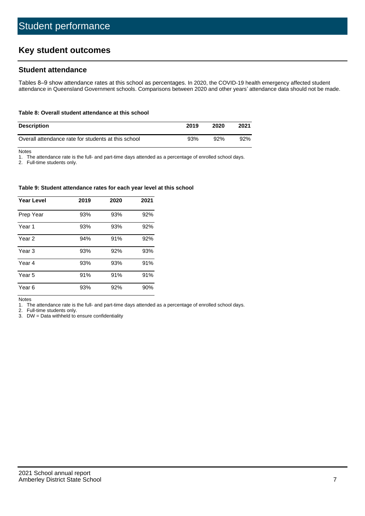# **Key student outcomes**

## **Student attendance**

Tables 8–9 show attendance rates at this school as percentages. In 2020, the COVID-19 health emergency affected student attendance in Queensland Government schools. Comparisons between 2020 and other years' attendance data should not be made.

#### **Table 8: Overall student attendance at this school**

| <b>Description</b>                                  | 2019 | 2020 | 2021 |
|-----------------------------------------------------|------|------|------|
| Overall attendance rate for students at this school | 93%  | 92%  | 92%  |

Notes

1. The attendance rate is the full- and part-time days attended as a percentage of enrolled school days.

2. Full-time students only.

#### **Table 9: Student attendance rates for each year level at this school**

| <b>Year Level</b> | 2019 | 2020 | 2021 |
|-------------------|------|------|------|
| Prep Year         | 93%  | 93%  | 92%  |
| Year <sub>1</sub> | 93%  | 93%  | 92%  |
| Year 2            | 94%  | 91%  | 92%  |
| Year 3            | 93%  | 92%  | 93%  |
| Year 4            | 93%  | 93%  | 91%  |
| Year 5            | 91%  | 91%  | 91%  |
| Year <sub>6</sub> | 93%  | 92%  | 90%  |

Notes

1. The attendance rate is the full- and part-time days attended as a percentage of enrolled school days.<br>2. Full-time students only.

Full-time students only.

3. DW = Data withheld to ensure confidentiality